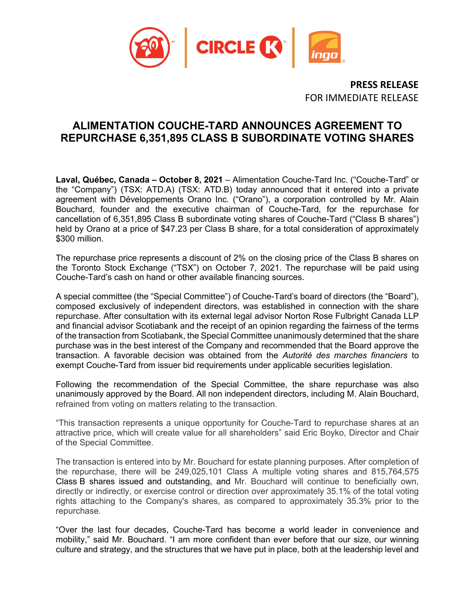

**PRESS RELEASE** FOR IMMEDIATE RELEASE

## **ALIMENTATION COUCHE-TARD ANNOUNCES AGREEMENT TO REPURCHASE 6,351,895 CLASS B SUBORDINATE VOTING SHARES**

**Laval, Québec, Canada – October 8, 2021** – Alimentation Couche-Tard Inc. ("Couche-Tard" or the "Company") (TSX: ATD.A) (TSX: ATD.B) today announced that it entered into a private agreement with Développements Orano Inc. ("Orano"), a corporation controlled by Mr. Alain Bouchard, founder and the executive chairman of Couche-Tard, for the repurchase for cancellation of 6,351,895 Class B subordinate voting shares of Couche-Tard ("Class B shares") held by Orano at a price of \$47.23 per Class B share, for a total consideration of approximately \$300 million.

The repurchase price represents a discount of 2% on the closing price of the Class B shares on the Toronto Stock Exchange ("TSX") on October 7, 2021. The repurchase will be paid using Couche-Tard's cash on hand or other available financing sources.

A special committee (the "Special Committee") of Couche-Tard's board of directors (the "Board"), composed exclusively of independent directors, was established in connection with the share repurchase. After consultation with its external legal advisor Norton Rose Fulbright Canada LLP and financial advisor Scotiabank and the receipt of an opinion regarding the fairness of the terms of the transaction from Scotiabank, the Special Committee unanimously determined that the share purchase was in the best interest of the Company and recommended that the Board approve the transaction. A favorable decision was obtained from the *Autorité des marches financiers* to exempt Couche-Tard from issuer bid requirements under applicable securities legislation.

Following the recommendation of the Special Committee, the share repurchase was also unanimously approved by the Board. All non independent directors, including M. Alain Bouchard, refrained from voting on matters relating to the transaction.

"This transaction represents a unique opportunity for Couche-Tard to repurchase shares at an attractive price, which will create value for all shareholders" said Eric Boyko, Director and Chair of the Special Committee.

The transaction is entered into by Mr. Bouchard for estate planning purposes. After completion of the repurchase, there will be 249,025,101 Class A multiple voting shares and 815,764,575 Class B shares issued and outstanding, and Mr. Bouchard will continue to beneficially own, directly or indirectly, or exercise control or direction over approximately 35.1% of the total voting rights attaching to the Company's shares, as compared to approximately 35.3% prior to the repurchase.

"Over the last four decades, Couche-Tard has become a world leader in convenience and mobility," said Mr. Bouchard. "I am more confident than ever before that our size, our winning culture and strategy, and the structures that we have put in place, both at the leadership level and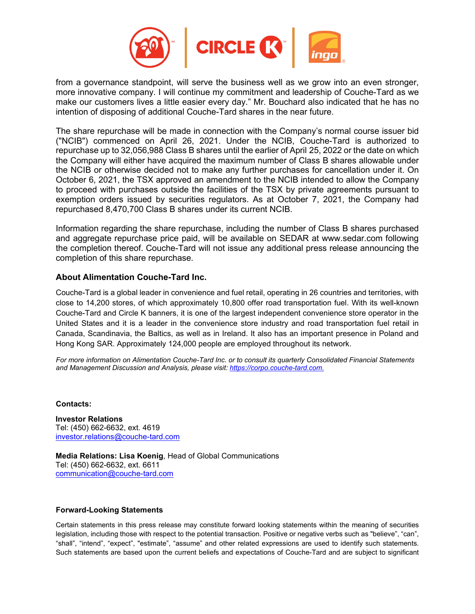

from a governance standpoint, will serve the business well as we grow into an even stronger, more innovative company. I will continue my commitment and leadership of Couche-Tard as we make our customers lives a little easier every day." Mr. Bouchard also indicated that he has no intention of disposing of additional Couche-Tard shares in the near future.

The share repurchase will be made in connection with the Company's normal course issuer bid ("NCIB") commenced on April 26, 2021. Under the NCIB, Couche-Tard is authorized to repurchase up to 32,056,988 Class B shares until the earlier of April 25, 2022 or the date on which the Company will either have acquired the maximum number of Class B shares allowable under the NCIB or otherwise decided not to make any further purchases for cancellation under it. On October 6, 2021, the TSX approved an amendment to the NCIB intended to allow the Company to proceed with purchases outside the facilities of the TSX by private agreements pursuant to exemption orders issued by securities regulators. As at October 7, 2021, the Company had repurchased 8,470,700 Class B shares under its current NCIB.

Information regarding the share repurchase, including the number of Class B shares purchased and aggregate repurchase price paid, will be available on SEDAR at www.sedar.com following the completion thereof. Couche-Tard will not issue any additional press release announcing the completion of this share repurchase.

## **About Alimentation Couche-Tard Inc.**

Couche-Tard is a global leader in convenience and fuel retail, operating in 26 countries and territories, with close to 14,200 stores, of which approximately 10,800 offer road transportation fuel. With its well-known Couche-Tard and Circle K banners, it is one of the largest independent convenience store operator in the United States and it is a leader in the convenience store industry and road transportation fuel retail in Canada, Scandinavia, the Baltics, as well as in Ireland. It also has an important presence in Poland and Hong Kong SAR. Approximately 124,000 people are employed throughout its network.

*For more information on Alimentation Couche-Tard Inc. or to consult its quarterly Consolidated Financial Statements and Management Discussion and Analysis, please visit: [https://corpo.couche-tard.com.](https://corpo.couche-tard.com/)*

**Contacts:**

**Investor Relations** Tel: (450) 662-6632, ext. 4619 [investor.relations@couche-tard.com](mailto:investor.relations@couche-tard.com)

**Media Relations: Lisa Koenig**, Head of Global Communications Tel: (450) 662-6632, ext. 6611 [communication@couche-tard.com](mailto:communication@couche-tard.com)

## **Forward-Looking Statements**

Certain statements in this press release may constitute forward looking statements within the meaning of securities legislation, including those with respect to the potential transaction. Positive or negative verbs such as "believe", "can", "shall", "intend", "expect", "estimate", "assume" and other related expressions are used to identify such statements. Such statements are based upon the current beliefs and expectations of Couche-Tard and are subject to significant